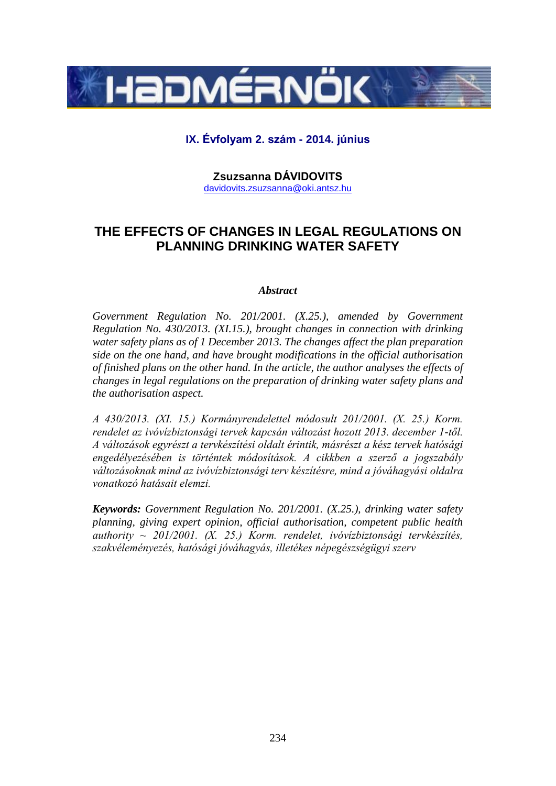

## **IX. Évfolyam 2. szám - 2014. június**

**Zsuzsanna DÁVIDOVITS** [davidovits.zsuzsanna@oki.antsz.hu](mailto:davidovits.zsuzsanna@oki.antsz.hu)

# **THE EFFECTS OF CHANGES IN LEGAL REGULATIONS ON PLANNING DRINKING WATER SAFETY**

#### *Abstract*

*Government Regulation No. 201/2001. (X.25.), amended by Government Regulation No. 430/2013. (XI.15.), brought changes in connection with drinking water safety plans as of 1 December 2013. The changes affect the plan preparation side on the one hand, and have brought modifications in the official authorisation of finished plans on the other hand. In the article, the author analyses the effects of changes in legal regulations on the preparation of drinking water safety plans and the authorisation aspect.*

*A 430/2013. (XI. 15.) Kormányrendelettel módosult 201/2001. (X. 25.) Korm. rendelet az ivóvízbiztonsági tervek kapcsán változást hozott 2013. december 1-től. A változások egyrészt a tervkészítési oldalt érintik, másrészt a kész tervek hatósági engedélyezésében is történtek módosítások. A cikkben a szerző a jogszabály változásoknak mind az ivóvízbiztonsági terv készítésre, mind a jóváhagyási oldalra vonatkozó hatásait elemzi.*

*Keywords: Government Regulation No. 201/2001. (X.25.), drinking water safety planning, giving expert opinion, official authorisation, competent public health authority ~ 201/2001. (X. 25.) Korm. rendelet, ivóvízbiztonsági tervkészítés, szakvéleményezés, hatósági jóváhagyás, illetékes népegészségügyi szerv*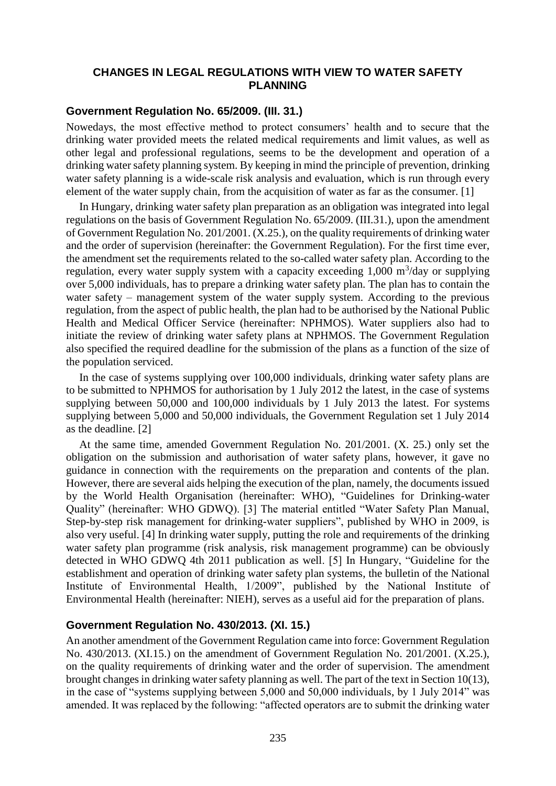### **CHANGES IN LEGAL REGULATIONS WITH VIEW TO WATER SAFETY PLANNING**

### **Government Regulation No. 65/2009. (III. 31.)**

Nowedays, the most effective method to protect consumers' health and to secure that the drinking water provided meets the related medical requirements and limit values, as well as other legal and professional regulations, seems to be the development and operation of a drinking water safety planning system. By keeping in mind the principle of prevention, drinking water safety planning is a wide-scale risk analysis and evaluation, which is run through every element of the water supply chain, from the acquisition of water as far as the consumer. [1]

In Hungary, drinking water safety plan preparation as an obligation was integrated into legal regulations on the basis of Government Regulation No. 65/2009. (III.31.), upon the amendment of Government Regulation No. 201/2001. (X.25.), on the quality requirements of drinking water and the order of supervision (hereinafter: the Government Regulation). For the first time ever, the amendment set the requirements related to the so-called water safety plan. According to the regulation, every water supply system with a capacity exceeding  $1,000 \text{ m}^3/\text{day}$  or supplying over 5,000 individuals, has to prepare a drinking water safety plan. The plan has to contain the water safety – management system of the water supply system. According to the previous regulation, from the aspect of public health, the plan had to be authorised by the National Public Health and Medical Officer Service (hereinafter: NPHMOS). Water suppliers also had to initiate the review of drinking water safety plans at NPHMOS. The Government Regulation also specified the required deadline for the submission of the plans as a function of the size of the population serviced.

In the case of systems supplying over 100,000 individuals, drinking water safety plans are to be submitted to NPHMOS for authorisation by 1 July 2012 the latest, in the case of systems supplying between 50,000 and 100,000 individuals by 1 July 2013 the latest. For systems supplying between 5,000 and 50,000 individuals, the Government Regulation set 1 July 2014 as the deadline. [2]

At the same time, amended Government Regulation No. 201/2001. (X. 25.) only set the obligation on the submission and authorisation of water safety plans, however, it gave no guidance in connection with the requirements on the preparation and contents of the plan. However, there are several aids helping the execution of the plan, namely, the documents issued by the World Health Organisation (hereinafter: WHO), "Guidelines for Drinking-water Quality" (hereinafter: WHO GDWQ). [3] The material entitled "Water Safety Plan Manual, Step-by-step risk management for drinking-water suppliers", published by WHO in 2009, is also very useful. [4] In drinking water supply, putting the role and requirements of the drinking water safety plan programme (risk analysis, risk management programme) can be obviously detected in WHO GDWQ 4th 2011 publication as well. [5] In Hungary, "Guideline for the establishment and operation of drinking water safety plan systems, the bulletin of the National Institute of Environmental Health, 1/2009", published by the National Institute of Environmental Health (hereinafter: NIEH), serves as a useful aid for the preparation of plans.

## **Government Regulation No. 430/2013. (XI. 15.)**

An another amendment of the Government Regulation came into force: Government Regulation No. 430/2013. (XI.15.) on the amendment of Government Regulation No. 201/2001. (X.25.), on the quality requirements of drinking water and the order of supervision. The amendment brought changes in drinking water safety planning as well. The part of the text in Section 10(13), in the case of "systems supplying between 5,000 and 50,000 individuals, by 1 July 2014" was amended. It was replaced by the following: "affected operators are to submit the drinking water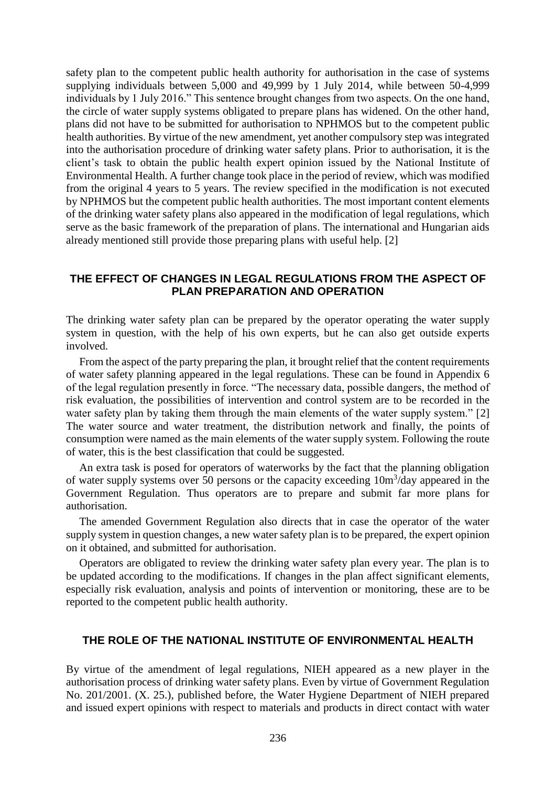safety plan to the competent public health authority for authorisation in the case of systems supplying individuals between 5,000 and 49,999 by 1 July 2014, while between 50-4,999 individuals by 1 July 2016." This sentence brought changes from two aspects. On the one hand, the circle of water supply systems obligated to prepare plans has widened. On the other hand, plans did not have to be submitted for authorisation to NPHMOS but to the competent public health authorities. By virtue of the new amendment, yet another compulsory step was integrated into the authorisation procedure of drinking water safety plans. Prior to authorisation, it is the client's task to obtain the public health expert opinion issued by the National Institute of Environmental Health. A further change took place in the period of review, which was modified from the original 4 years to 5 years. The review specified in the modification is not executed by NPHMOS but the competent public health authorities. The most important content elements of the drinking water safety plans also appeared in the modification of legal regulations, which serve as the basic framework of the preparation of plans. The international and Hungarian aids already mentioned still provide those preparing plans with useful help. [2]

#### **THE EFFECT OF CHANGES IN LEGAL REGULATIONS FROM THE ASPECT OF PLAN PREPARATION AND OPERATION**

The drinking water safety plan can be prepared by the operator operating the water supply system in question, with the help of his own experts, but he can also get outside experts involved.

From the aspect of the party preparing the plan, it brought relief that the content requirements of water safety planning appeared in the legal regulations. These can be found in Appendix 6 of the legal regulation presently in force. "The necessary data, possible dangers, the method of risk evaluation, the possibilities of intervention and control system are to be recorded in the water safety plan by taking them through the main elements of the water supply system." [2] The water source and water treatment, the distribution network and finally, the points of consumption were named as the main elements of the water supply system. Following the route of water, this is the best classification that could be suggested.

An extra task is posed for operators of waterworks by the fact that the planning obligation of water supply systems over 50 persons or the capacity exceeding  $10m<sup>3</sup>/day$  appeared in the Government Regulation. Thus operators are to prepare and submit far more plans for authorisation.

The amended Government Regulation also directs that in case the operator of the water supply system in question changes, a new water safety plan is to be prepared, the expert opinion on it obtained, and submitted for authorisation.

Operators are obligated to review the drinking water safety plan every year. The plan is to be updated according to the modifications. If changes in the plan affect significant elements, especially risk evaluation, analysis and points of intervention or monitoring, these are to be reported to the competent public health authority.

#### **THE ROLE OF THE NATIONAL INSTITUTE OF ENVIRONMENTAL HEALTH**

By virtue of the amendment of legal regulations, NIEH appeared as a new player in the authorisation process of drinking water safety plans. Even by virtue of Government Regulation No. 201/2001. (X. 25.), published before, the Water Hygiene Department of NIEH prepared and issued expert opinions with respect to materials and products in direct contact with water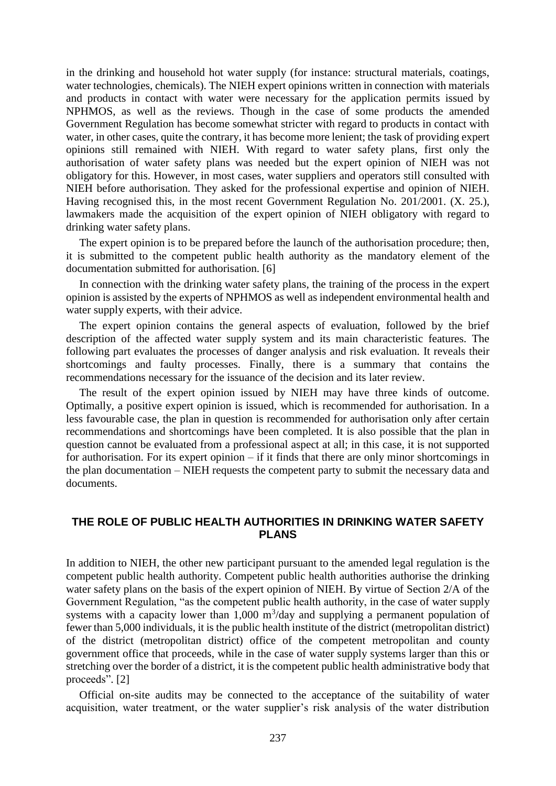in the drinking and household hot water supply (for instance: structural materials, coatings, water technologies, chemicals). The NIEH expert opinions written in connection with materials and products in contact with water were necessary for the application permits issued by NPHMOS, as well as the reviews. Though in the case of some products the amended Government Regulation has become somewhat stricter with regard to products in contact with water, in other cases, quite the contrary, it has become more lenient; the task of providing expert opinions still remained with NIEH. With regard to water safety plans, first only the authorisation of water safety plans was needed but the expert opinion of NIEH was not obligatory for this. However, in most cases, water suppliers and operators still consulted with NIEH before authorisation. They asked for the professional expertise and opinion of NIEH. Having recognised this, in the most recent Government Regulation No. 201/2001. (X. 25.), lawmakers made the acquisition of the expert opinion of NIEH obligatory with regard to drinking water safety plans.

The expert opinion is to be prepared before the launch of the authorisation procedure; then, it is submitted to the competent public health authority as the mandatory element of the documentation submitted for authorisation. [6]

In connection with the drinking water safety plans, the training of the process in the expert opinion is assisted by the experts of NPHMOS as well as independent environmental health and water supply experts, with their advice.

The expert opinion contains the general aspects of evaluation, followed by the brief description of the affected water supply system and its main characteristic features. The following part evaluates the processes of danger analysis and risk evaluation. It reveals their shortcomings and faulty processes. Finally, there is a summary that contains the recommendations necessary for the issuance of the decision and its later review.

The result of the expert opinion issued by NIEH may have three kinds of outcome. Optimally, a positive expert opinion is issued, which is recommended for authorisation. In a less favourable case, the plan in question is recommended for authorisation only after certain recommendations and shortcomings have been completed. It is also possible that the plan in question cannot be evaluated from a professional aspect at all; in this case, it is not supported for authorisation. For its expert opinion – if it finds that there are only minor shortcomings in the plan documentation – NIEH requests the competent party to submit the necessary data and documents.

## **THE ROLE OF PUBLIC HEALTH AUTHORITIES IN DRINKING WATER SAFETY PLANS**

In addition to NIEH, the other new participant pursuant to the amended legal regulation is the competent public health authority. Competent public health authorities authorise the drinking water safety plans on the basis of the expert opinion of NIEH. By virtue of Section 2/A of the Government Regulation, "as the competent public health authority, in the case of water supply systems with a capacity lower than  $1,000 \text{ m}^3/\text{day}$  and supplying a permanent population of fewer than 5,000 individuals, it is the public health institute of the district (metropolitan district) of the district (metropolitan district) office of the competent metropolitan and county government office that proceeds, while in the case of water supply systems larger than this or stretching over the border of a district, it is the competent public health administrative body that proceeds". [2]

Official on-site audits may be connected to the acceptance of the suitability of water acquisition, water treatment, or the water supplier's risk analysis of the water distribution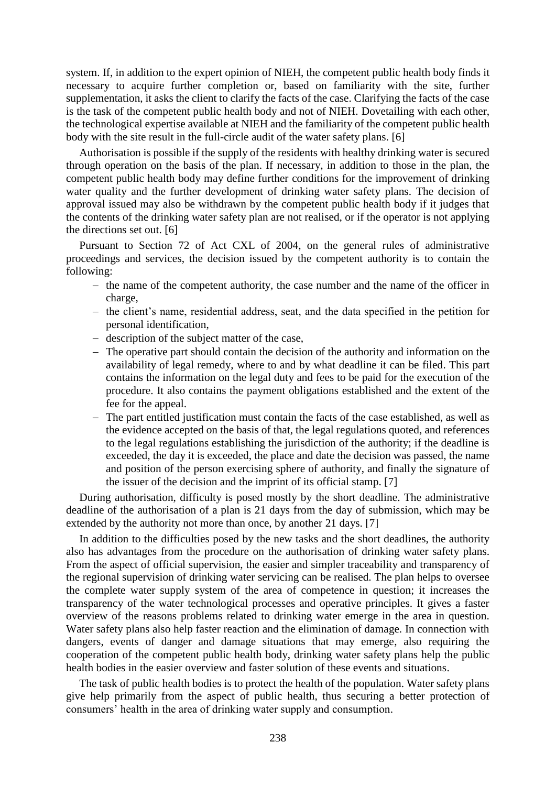system. If, in addition to the expert opinion of NIEH, the competent public health body finds it necessary to acquire further completion or, based on familiarity with the site, further supplementation, it asks the client to clarify the facts of the case. Clarifying the facts of the case is the task of the competent public health body and not of NIEH. Dovetailing with each other, the technological expertise available at NIEH and the familiarity of the competent public health body with the site result in the full-circle audit of the water safety plans. [6]

Authorisation is possible if the supply of the residents with healthy drinking water is secured through operation on the basis of the plan. If necessary, in addition to those in the plan, the competent public health body may define further conditions for the improvement of drinking water quality and the further development of drinking water safety plans. The decision of approval issued may also be withdrawn by the competent public health body if it judges that the contents of the drinking water safety plan are not realised, or if the operator is not applying the directions set out. [6]

Pursuant to Section 72 of Act CXL of 2004, on the general rules of administrative proceedings and services, the decision issued by the competent authority is to contain the following:

- $\theta$  the name of the competent authority, the case number and the name of the officer in charge,
- the client's name, residential address, seat, and the data specified in the petition for personal identification,
- description of the subject matter of the case,
- The operative part should contain the decision of the authority and information on the availability of legal remedy, where to and by what deadline it can be filed. This part contains the information on the legal duty and fees to be paid for the execution of the procedure. It also contains the payment obligations established and the extent of the fee for the appeal.
- The part entitled justification must contain the facts of the case established, as well as the evidence accepted on the basis of that, the legal regulations quoted, and references to the legal regulations establishing the jurisdiction of the authority; if the deadline is exceeded, the day it is exceeded, the place and date the decision was passed, the name and position of the person exercising sphere of authority, and finally the signature of the issuer of the decision and the imprint of its official stamp. [7]

During authorisation, difficulty is posed mostly by the short deadline. The administrative deadline of the authorisation of a plan is 21 days from the day of submission, which may be extended by the authority not more than once, by another 21 days. [7]

In addition to the difficulties posed by the new tasks and the short deadlines, the authority also has advantages from the procedure on the authorisation of drinking water safety plans. From the aspect of official supervision, the easier and simpler traceability and transparency of the regional supervision of drinking water servicing can be realised. The plan helps to oversee the complete water supply system of the area of competence in question; it increases the transparency of the water technological processes and operative principles. It gives a faster overview of the reasons problems related to drinking water emerge in the area in question. Water safety plans also help faster reaction and the elimination of damage. In connection with dangers, events of danger and damage situations that may emerge, also requiring the cooperation of the competent public health body, drinking water safety plans help the public health bodies in the easier overview and faster solution of these events and situations.

The task of public health bodies is to protect the health of the population. Water safety plans give help primarily from the aspect of public health, thus securing a better protection of consumers' health in the area of drinking water supply and consumption.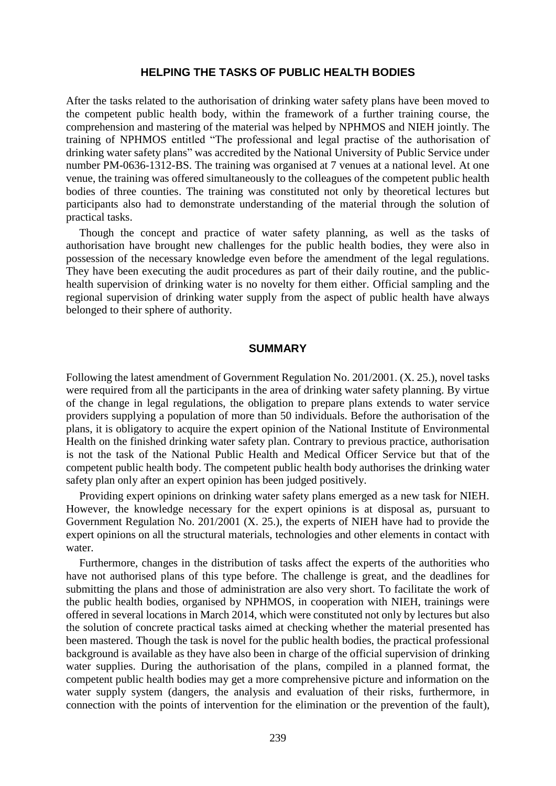#### **HELPING THE TASKS OF PUBLIC HEALTH BODIES**

After the tasks related to the authorisation of drinking water safety plans have been moved to the competent public health body, within the framework of a further training course, the comprehension and mastering of the material was helped by NPHMOS and NIEH jointly. The training of NPHMOS entitled "The professional and legal practise of the authorisation of drinking water safety plans" was accredited by the National University of Public Service under number PM-0636-1312-BS. The training was organised at 7 venues at a national level. At one venue, the training was offered simultaneously to the colleagues of the competent public health bodies of three counties. The training was constituted not only by theoretical lectures but participants also had to demonstrate understanding of the material through the solution of practical tasks.

Though the concept and practice of water safety planning, as well as the tasks of authorisation have brought new challenges for the public health bodies, they were also in possession of the necessary knowledge even before the amendment of the legal regulations. They have been executing the audit procedures as part of their daily routine, and the publichealth supervision of drinking water is no novelty for them either. Official sampling and the regional supervision of drinking water supply from the aspect of public health have always belonged to their sphere of authority.

#### **SUMMARY**

Following the latest amendment of Government Regulation No. 201/2001. (X. 25.), novel tasks were required from all the participants in the area of drinking water safety planning. By virtue of the change in legal regulations, the obligation to prepare plans extends to water service providers supplying a population of more than 50 individuals. Before the authorisation of the plans, it is obligatory to acquire the expert opinion of the National Institute of Environmental Health on the finished drinking water safety plan. Contrary to previous practice, authorisation is not the task of the National Public Health and Medical Officer Service but that of the competent public health body. The competent public health body authorises the drinking water safety plan only after an expert opinion has been judged positively.

Providing expert opinions on drinking water safety plans emerged as a new task for NIEH. However, the knowledge necessary for the expert opinions is at disposal as, pursuant to Government Regulation No. 201/2001 (X. 25.), the experts of NIEH have had to provide the expert opinions on all the structural materials, technologies and other elements in contact with water.

Furthermore, changes in the distribution of tasks affect the experts of the authorities who have not authorised plans of this type before. The challenge is great, and the deadlines for submitting the plans and those of administration are also very short. To facilitate the work of the public health bodies, organised by NPHMOS, in cooperation with NIEH, trainings were offered in several locations in March 2014, which were constituted not only by lectures but also the solution of concrete practical tasks aimed at checking whether the material presented has been mastered. Though the task is novel for the public health bodies, the practical professional background is available as they have also been in charge of the official supervision of drinking water supplies. During the authorisation of the plans, compiled in a planned format, the competent public health bodies may get a more comprehensive picture and information on the water supply system (dangers, the analysis and evaluation of their risks, furthermore, in connection with the points of intervention for the elimination or the prevention of the fault),